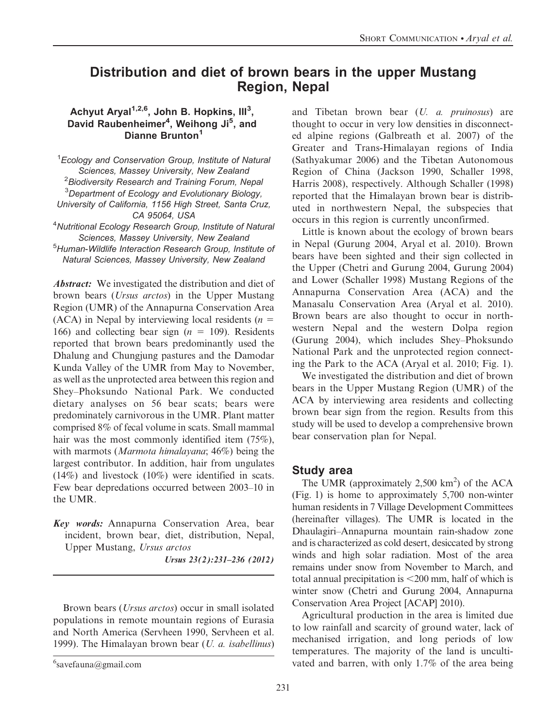# Distribution and diet of brown bears in the upper Mustang Region, Nepal

### Achyut Aryal<sup>1,2,6</sup>, John B. Hopkins, Ill<sup>3</sup>, David Raubenheimer<sup>4</sup>, Weihong Ji<sup>5</sup>, and Dianne Brunton<sup>1</sup>

<sup>1</sup> Ecology and Conservation Group, Institute of Natural Sciences, Massey University, New Zealand  $^2$ Biodiversity Research and Training Forum, Nepal <sup>3</sup>Department of Ecology and Evolutionary Biology, University of California, 1156 High Street, Santa Cruz, CA 95064, USA

4 Nutritional Ecology Research Group, Institute of Natural Sciences, Massey University, New Zealand

5 Human-Wildlife Interaction Research Group, Institute of Natural Sciences, Massey University, New Zealand

Abstract: We investigated the distribution and diet of brown bears (Ursus arctos) in the Upper Mustang Region (UMR) of the Annapurna Conservation Area (ACA) in Nepal by interviewing local residents ( $n =$ 166) and collecting bear sign ( $n = 109$ ). Residents reported that brown bears predominantly used the Dhalung and Chungjung pastures and the Damodar Kunda Valley of the UMR from May to November, as well as the unprotected area between this region and Shey–Phoksundo National Park. We conducted dietary analyses on 56 bear scats; bears were predominately carnivorous in the UMR. Plant matter comprised 8% of fecal volume in scats. Small mammal hair was the most commonly identified item (75%), with marmots (Marmota himalayana; 46%) being the largest contributor. In addition, hair from ungulates (14%) and livestock (10%) were identified in scats. Few bear depredations occurred between 2003–10 in the UMR.

Key words: Annapurna Conservation Area, bear incident, brown bear, diet, distribution, Nepal, Upper Mustang, Ursus arctos

Ursus 23(2):231–236 (2012)

Brown bears (Ursus arctos) occur in small isolated populations in remote mountain regions of Eurasia and North America (Servheen 1990, Servheen et al. 1999). The Himalayan brown bear  $(U. a.$  isabellinus) and Tibetan brown bear (U. a. pruinosus) are thought to occur in very low densities in disconnected alpine regions (Galbreath et al. 2007) of the Greater and Trans-Himalayan regions of India (Sathyakumar 2006) and the Tibetan Autonomous Region of China (Jackson 1990, Schaller 1998, Harris 2008), respectively. Although Schaller (1998) reported that the Himalayan brown bear is distributed in northwestern Nepal, the subspecies that occurs in this region is currently unconfirmed.

Little is known about the ecology of brown bears in Nepal (Gurung 2004, Aryal et al. 2010). Brown bears have been sighted and their sign collected in the Upper (Chetri and Gurung 2004, Gurung 2004) and Lower (Schaller 1998) Mustang Regions of the Annapurna Conservation Area (ACA) and the Manasalu Conservation Area (Aryal et al. 2010). Brown bears are also thought to occur in northwestern Nepal and the western Dolpa region (Gurung 2004), which includes Shey–Phoksundo National Park and the unprotected region connecting the Park to the ACA (Aryal et al. 2010; Fig. 1).

We investigated the distribution and diet of brown bears in the Upper Mustang Region (UMR) of the ACA by interviewing area residents and collecting brown bear sign from the region. Results from this study will be used to develop a comprehensive brown bear conservation plan for Nepal.

# Study area

The UMR (approximately  $2,500 \text{ km}^2$ ) of the ACA (Fig. 1) is home to approximately 5,700 non-winter human residents in 7 Village Development Committees (hereinafter villages). The UMR is located in the Dhaulagiri–Annapurna mountain rain-shadow zone and is characterized as cold desert, desiccated by strong winds and high solar radiation. Most of the area remains under snow from November to March, and total annual precipitation is  $<$  200 mm, half of which is winter snow (Chetri and Gurung 2004, Annapurna Conservation Area Project [ACAP] 2010).

Agricultural production in the area is limited due to low rainfall and scarcity of ground water, lack of mechanised irrigation, and long periods of low temperatures. The majority of the land is uncultivated and barren, with only  $1.7\%$  of the area being

 $6$ savefauna@gmail.com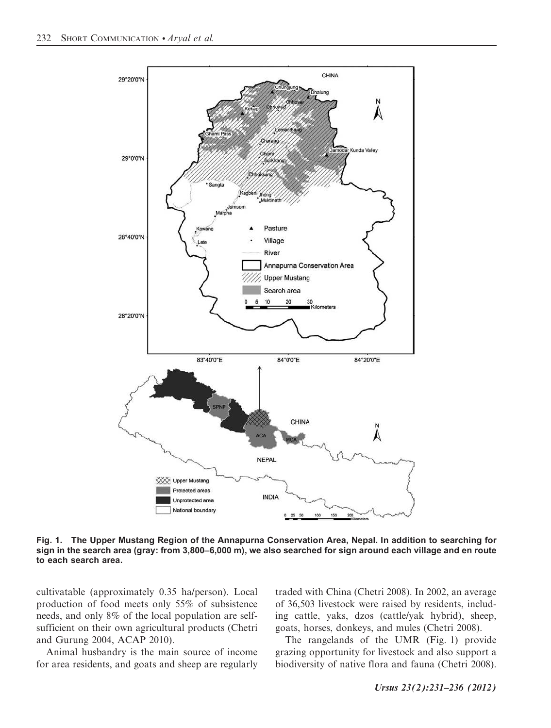

Fig. 1. The Upper Mustang Region of the Annapurna Conservation Area, Nepal. In addition to searching for sign in the search area (gray: from 3,800–6,000 m), we also searched for sign around each village and en route to each search area.

cultivatable (approximately 0.35 ha/person). Local production of food meets only 55% of subsistence needs, and only 8% of the local population are selfsufficient on their own agricultural products (Chetri and Gurung 2004, ACAP 2010).

Animal husbandry is the main source of income for area residents, and goats and sheep are regularly

traded with China (Chetri 2008). In 2002, an average of 36,503 livestock were raised by residents, including cattle, yaks, dzos (cattle/yak hybrid), sheep, goats, horses, donkeys, and mules (Chetri 2008).

The rangelands of the UMR (Fig. 1) provide grazing opportunity for livestock and also support a biodiversity of native flora and fauna (Chetri 2008).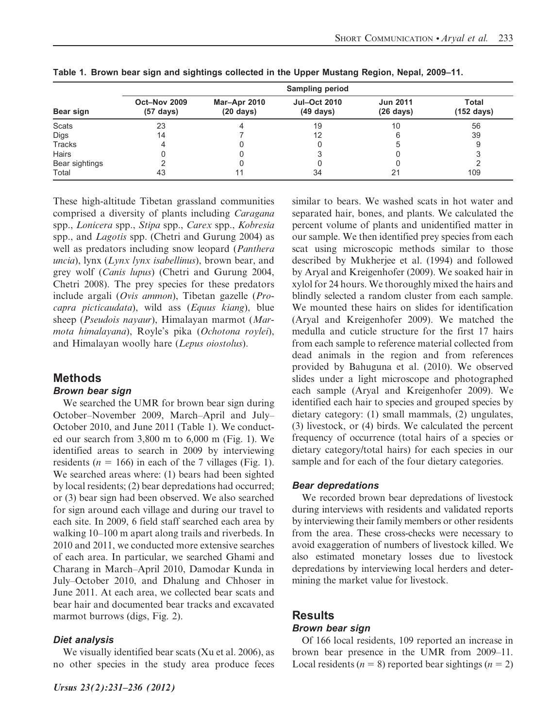|                |                                     |                                     | <b>Sampling period</b>                     |                                        |                               |
|----------------|-------------------------------------|-------------------------------------|--------------------------------------------|----------------------------------------|-------------------------------|
| Bear sign      | Oct-Nov 2009<br>$(57 \text{ days})$ | Mar-Apr 2010<br>$(20 \text{ days})$ | <b>Jul-Oct 2010</b><br>$(49 \text{ days})$ | <b>Jun 2011</b><br>$(26 \text{ days})$ | Total<br>$(152 \text{ days})$ |
| <b>Scats</b>   | 23                                  |                                     | 19                                         | 10                                     | 56                            |
| Digs           | 14                                  |                                     | 12                                         |                                        | 39                            |
| <b>Tracks</b>  |                                     |                                     |                                            |                                        |                               |
| Hairs          |                                     |                                     |                                            |                                        |                               |
| Bear sightings |                                     |                                     |                                            |                                        |                               |
| Total          | 43                                  |                                     | 34                                         | 21                                     | 109                           |

Table 1. Brown bear sign and sightings collected in the Upper Mustang Region, Nepal, 2009–11.

These high-altitude Tibetan grassland communities comprised a diversity of plants including Caragana spp., Lonicera spp., Stipa spp., Carex spp., Kobresia spp., and *Lagotis* spp. (Chetri and Gurung 2004) as well as predators including snow leopard (Panthera uncia), lynx (Lynx lynx isabellinus), brown bear, and grey wolf (Canis lupus) (Chetri and Gurung 2004, Chetri 2008). The prey species for these predators include argali (Ovis ammon), Tibetan gazelle (Procapra picticaudata), wild ass (Equus kiang), blue sheep (Pseudois nayaur), Himalayan marmot (Marmota himalayana), Royle's pika (Ochotona roylei), and Himalayan woolly hare (Lepus oiostolus).

# Methods

### Brown bear sign

We searched the UMR for brown bear sign during October–November 2009, March–April and July– October 2010, and June 2011 (Table 1). We conducted our search from 3,800 m to 6,000 m (Fig. 1). We identified areas to search in 2009 by interviewing residents ( $n = 166$ ) in each of the 7 villages (Fig. 1). We searched areas where: (1) bears had been sighted by local residents; (2) bear depredations had occurred; or (3) bear sign had been observed. We also searched for sign around each village and during our travel to each site. In 2009, 6 field staff searched each area by walking 10–100 m apart along trails and riverbeds. In 2010 and 2011, we conducted more extensive searches of each area. In particular, we searched Ghami and Charang in March–April 2010, Damodar Kunda in July–October 2010, and Dhalung and Chhoser in June 2011. At each area, we collected bear scats and bear hair and documented bear tracks and excavated marmot burrows (digs, Fig. 2).

# Diet analysis

We visually identified bear scats (Xu et al. 2006), as no other species in the study area produce feces similar to bears. We washed scats in hot water and separated hair, bones, and plants. We calculated the percent volume of plants and unidentified matter in our sample. We then identified prey species from each scat using microscopic methods similar to those described by Mukherjee et al. (1994) and followed by Aryal and Kreigenhofer (2009). We soaked hair in xylol for 24 hours. We thoroughly mixed the hairs and blindly selected a random cluster from each sample. We mounted these hairs on slides for identification (Aryal and Kreigenhofer 2009). We matched the medulla and cuticle structure for the first 17 hairs from each sample to reference material collected from dead animals in the region and from references provided by Bahuguna et al. (2010). We observed slides under a light microscope and photographed each sample (Aryal and Kreigenhofer 2009). We identified each hair to species and grouped species by dietary category: (1) small mammals, (2) ungulates, (3) livestock, or (4) birds. We calculated the percent frequency of occurrence (total hairs of a species or dietary category/total hairs) for each species in our sample and for each of the four dietary categories.

# Bear depredations

We recorded brown bear depredations of livestock during interviews with residents and validated reports by interviewing their family members or other residents from the area. These cross-checks were necessary to avoid exaggeration of numbers of livestock killed. We also estimated monetary losses due to livestock depredations by interviewing local herders and determining the market value for livestock.

# **Results**

# Brown bear sign

Of 166 local residents, 109 reported an increase in brown bear presence in the UMR from 2009–11. Local residents ( $n = 8$ ) reported bear sightings ( $n = 2$ )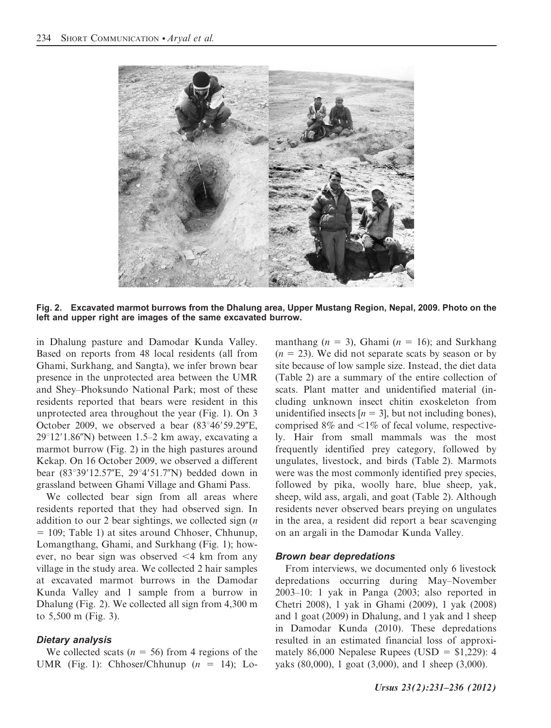

Fig. 2. Excavated marmot burrows from the Dhalung area, Upper Mustang Region, Nepal, 2009. Photo on the left and upper right are images of the same excavated burrow.

in Dhalung pasture and Damodar Kunda Valley. Based on reports from 48 local residents (all from Ghami, Surkhang, and Sangta), we infer brown bear presence in the unprotected area between the UMR and Shey–Phoksundo National Park; most of these residents reported that bears were resident in this unprotected area throughout the year (Fig. 1). On 3 October 2009, we observed a bear  $(83°46'59.29"E,$  $29^{\circ}12'1.86''$ N) between 1.5–2 km away, excavating a marmot burrow (Fig. 2) in the high pastures around Kekap. On 16 October 2009, we observed a different bear  $(83°39'12.57"E, 29°4'51.7"N)$  bedded down in grassland between Ghami Village and Ghami Pass.

We collected bear sign from all areas where residents reported that they had observed sign. In addition to our 2 bear sightings, we collected sign  $(n)$ = 109; Table 1) at sites around Chhoser, Chhunup, Lomangthang, Ghami, and Surkhang (Fig. 1); however, no bear sign was observed <4 km from any village in the study area. We collected 2 hair samples at excavated marmot burrows in the Damodar Kunda Valley and 1 sample from a burrow in Dhalung (Fig. 2). We collected all sign from 4,300 m to 5,500 m (Fig. 3).

### Dietary analysis

We collected scats ( $n = 56$ ) from 4 regions of the UMR (Fig. 1): Chhoser/Chhunup  $(n = 14)$ ; Lomanthang  $(n = 3)$ , Ghami  $(n = 16)$ ; and Surkhang  $(n = 23)$ . We did not separate scats by season or by site because of low sample size. Instead, the diet data (Table 2) are a summary of the entire collection of scats. Plant matter and unidentified material (including unknown insect chitin exoskeleton from unidentified insects  $[n = 3]$ , but not including bones), comprised  $8\%$  and  $\leq 1\%$  of fecal volume, respectively. Hair from small mammals was the most frequently identified prey category, followed by ungulates, livestock, and birds (Table 2). Marmots were was the most commonly identified prey species, followed by pika, woolly hare, blue sheep, yak, sheep, wild ass, argali, and goat (Table 2). Although residents never observed bears preying on ungulates in the area, a resident did report a bear scavenging on an argali in the Damodar Kunda Valley.

#### Brown bear depredations

From interviews, we documented only 6 livestock depredations occurring during May–November 2003–10: 1 yak in Panga (2003; also reported in Chetri 2008), 1 yak in Ghami (2009), 1 yak (2008) and 1 goat (2009) in Dhalung, and 1 yak and 1 sheep in Damodar Kunda (2010). These depredations resulted in an estimated financial loss of approximately 86,000 Nepalese Rupees (USD =  $$1,229$ ): 4 yaks (80,000), 1 goat (3,000), and 1 sheep (3,000).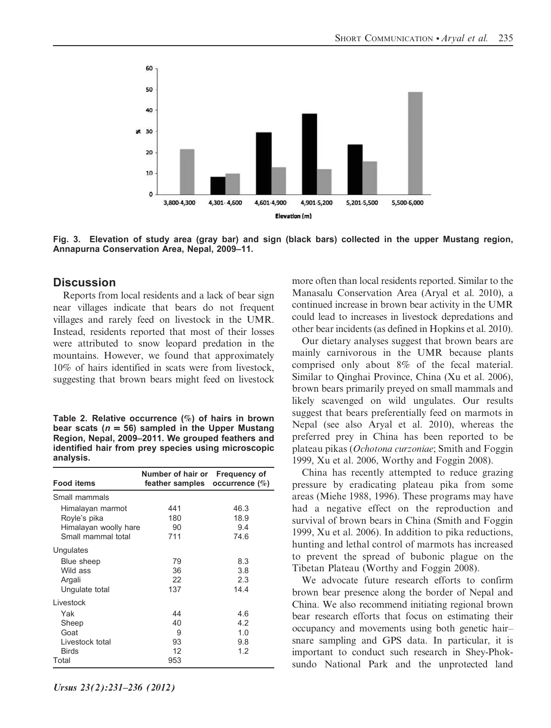

Fig. 3. Elevation of study area (gray bar) and sign (black bars) collected in the upper Mustang region, Annapurna Conservation Area, Nepal, 2009–11.

### **Discussion**

Reports from local residents and a lack of bear sign near villages indicate that bears do not frequent villages and rarely feed on livestock in the UMR. Instead, residents reported that most of their losses were attributed to snow leopard predation in the mountains. However, we found that approximately 10% of hairs identified in scats were from livestock, suggesting that brown bears might feed on livestock

Table 2. Relative occurrence (%) of hairs in brown bear scats ( $n = 56$ ) sampled in the Upper Mustang Region, Nepal, 2009–2011. We grouped feathers and identified hair from prey species using microscopic analysis.

|                       | Number of hair or Frequency of    |      |
|-----------------------|-----------------------------------|------|
| <b>Food items</b>     | feather samples occurrence $(\%)$ |      |
| Small mammals         |                                   |      |
| Himalayan marmot      | 441                               | 46.3 |
| Royle's pika          | 180                               | 18.9 |
| Himalayan woolly hare | 90                                | 9.4  |
| Small mammal total    | 711                               | 74.6 |
| Ungulates             |                                   |      |
| Blue sheep            | 79                                | 8.3  |
| Wild ass              | 36                                | 3.8  |
| Argali                | 22                                | 2.3  |
| Ungulate total        | 137                               | 14.4 |
| Livestock             |                                   |      |
| Yak                   | 44                                | 4.6  |
| Sheep                 | 40                                | 4.2  |
| Goat                  | 9                                 | 1.0  |
| Livestock total       | 93                                | 9.8  |
| <b>Birds</b>          | 12                                | 1.2  |
| Total                 | 953                               |      |

more often than local residents reported. Similar to the Manasalu Conservation Area (Aryal et al. 2010), a continued increase in brown bear activity in the UMR could lead to increases in livestock depredations and other bear incidents (as defined in Hopkins et al. 2010).

Our dietary analyses suggest that brown bears are mainly carnivorous in the UMR because plants comprised only about 8% of the fecal material. Similar to Qinghai Province, China (Xu et al. 2006), brown bears primarily preyed on small mammals and likely scavenged on wild ungulates. Our results suggest that bears preferentially feed on marmots in Nepal (see also Aryal et al. 2010), whereas the preferred prey in China has been reported to be plateau pikas (Ochotona curzoniae; Smith and Foggin 1999, Xu et al. 2006, Worthy and Foggin 2008).

China has recently attempted to reduce grazing pressure by eradicating plateau pika from some areas (Miehe 1988, 1996). These programs may have had a negative effect on the reproduction and survival of brown bears in China (Smith and Foggin 1999, Xu et al. 2006). In addition to pika reductions, hunting and lethal control of marmots has increased to prevent the spread of bubonic plague on the Tibetan Plateau (Worthy and Foggin 2008).

We advocate future research efforts to confirm brown bear presence along the border of Nepal and China. We also recommend initiating regional brown bear research efforts that focus on estimating their occupancy and movements using both genetic hair– snare sampling and GPS data. In particular, it is important to conduct such research in Shey-Phoksundo National Park and the unprotected land